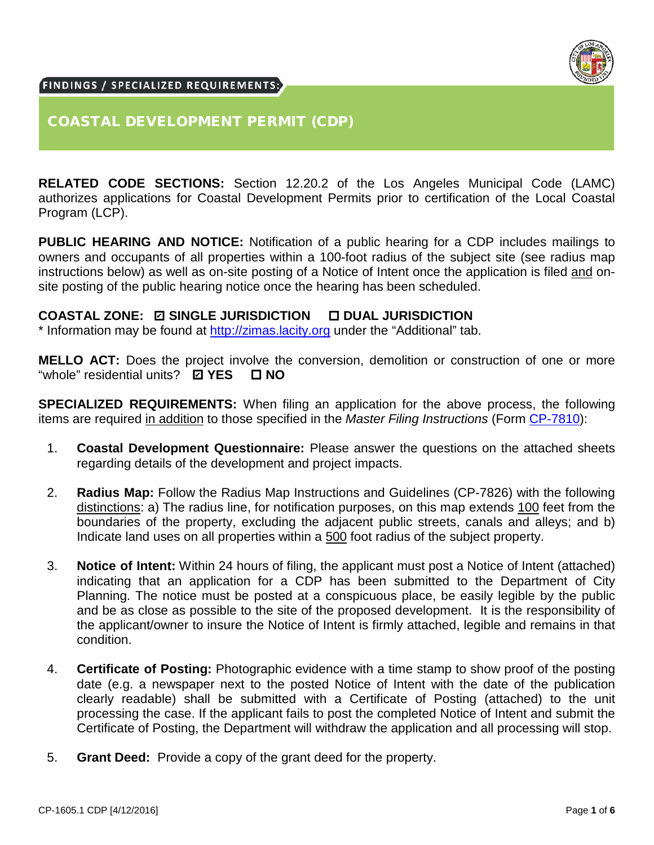

#### FINDINGS / SPECIALIZED REQUIREMENTS:

#### COASTAL DEVELOPMENT PERMIT (CDP)

**RELATED CODE SECTIONS:** Section 12.20.2 of the Los Angeles Municipal Code (LAMC) authorizes applications for Coastal Development Permits prior to certification of the Local Coastal Program (LCP).

**PUBLIC HEARING AND NOTICE:** Notification of a public hearing for a CDP includes mailings to owners and occupants of all properties within a 100-foot radius of the subject site (see radius map instructions below) as well as on-site posting of a Notice of Intent once the application is filed and onsite posting of the public hearing notice once the hearing has been scheduled.

#### **COASTAL ZONE: SINGLE JURISDICTION DUAL JURISDICTION** ✔

\* Information may be found at [http://zimas.lacity.org](http://zimas.lacity.org/) under the "Additional" tab.

**MELLO ACT:** Does the project involve the conversion, demolition or construction of one or more "whole" residential units? **YES NO** ✔

**SPECIALIZED REQUIREMENTS:** When filing an application for the above process, the following items are required in addition to those specified in the *Master Filing Instructions* (Form CP-7810):

- 1. **Coastal Development Questionnaire:** Please answer the questions on the attached sheets regarding details of the development and project impacts.
- 2. **Radius Map:** Follow the Radius Map Instructions and Guidelines (CP-7826) with the following distinctions: a) The radius line, for notification purposes, on this map extends 100 feet from the boundaries of the property, excluding the adjacent public streets, canals and alleys; and b) Indicate land uses on all properties within a 500 foot radius of the subject property.
- 3. **Notice of Intent:** Within 24 hours of filing, the applicant must post a Notice of Intent (attached) indicating that an application for a CDP has been submitted to the Department of City Planning. The notice must be posted at a conspicuous place, be easily legible by the public and be as close as possible to the site of the proposed development. It is the responsibility of the applicant/owner to insure the Notice of Intent is firmly attached, legible and remains in that condition.
- 4. **Certificate of Posting:** Photographic evidence with a time stamp to show proof of the posting date (e.g. a newspaper next to the posted Notice of Intent with the date of the publication clearly readable) shall be submitted with a Certificate of Posting (attached) to the unit processing the case. If the applicant fails to post the completed Notice of Intent and submit the Certificate of Posting, the Department will withdraw the application and all processing will stop.
- 5. **Grant Deed:** Provide a copy of the grant deed for the property.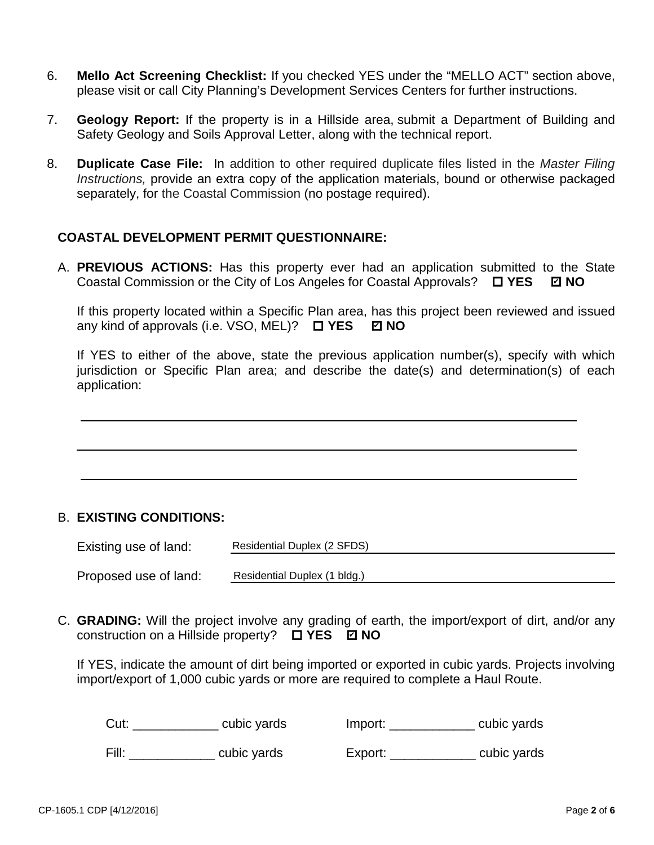- 6. **Mello Act Screening Checklist:** If you checked YES under the "MELLO ACT" section above, please visit or call City Planning's Development Services Centers for further instructions.
- 7. **Geology Report:** If the property is in a Hillside area, submit a Department of Building and Safety Geology and Soils Approval Letter, along with the technical report.
- 8. **Duplicate Case File:** In addition to other required duplicate files listed in the *Master Filing Instructions,* provide an extra copy of the application materials, bound or otherwise packaged separately, for the Coastal Commission (no postage required).

#### **COASTAL DEVELOPMENT PERMIT QUESTIONNAIRE:**

A. **PREVIOUS ACTIONS:** Has this property ever had an application submitted to the State Coastal Commission or the City of Los Angeles for Coastal Approvals? □ YES © NO

If this property located within a Specific Plan area, has this project been reviewed and issued any kind of approvals (i.e. VSO, MEL)?  $\Box$  **YES ☑ NO** 

If YES to either of the above, state the previous application number(s), specify with which jurisdiction or Specific Plan area; and describe the date(s) and determination(s) of each application:

#### B. **EXISTING CONDITIONS:**

| Existing use of land: | Residential Duplex (2 SFDS)  |
|-----------------------|------------------------------|
| Proposed use of land: | Residential Duplex (1 bldg.) |

C. **GRADING:** Will the project involve any grading of earth, the import/export of dirt, and/or any construction on a Hillside property? **YES NO** ✔

If YES, indicate the amount of dirt being imported or exported in cubic yards. Projects involving import/export of 1,000 cubic yards or more are required to complete a Haul Route.

| Cut:  | cubic yards | Import: | cubic yards |
|-------|-------------|---------|-------------|
| Fill: | cubic yards | Export: | cubic yards |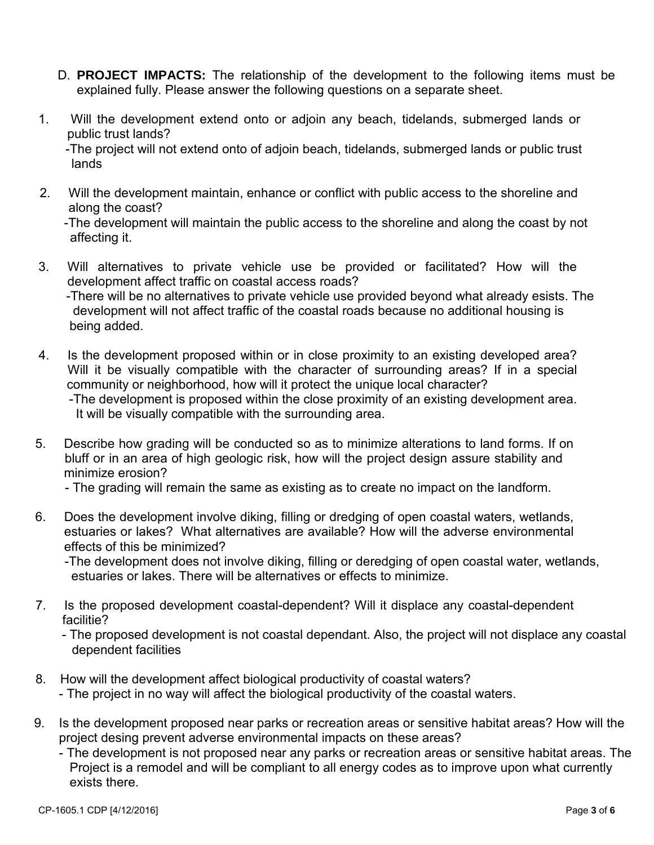- D. **PROJECT IMPACTS:** The relationship of the development to the following items must be explained fully. Please answer the following questions on a separate sheet.
- 1. Will the development extend onto or adjoin any beach, tidelands, submerged lands or public trust lands?

 -The project will not extend onto of adjoin beach, tidelands, submerged lands or public trust lands

 2. Will the development maintain, enhance or conflict with public access to the shoreline and along the coast?

 -The development will maintain the public access to the shoreline and along the coast by not affecting it.

- 3. 3. Will alternatives to private vehicle use be provided or facilitated? How will the development affect traffic on coastal access roads? -There will be no alternatives to private vehicle use provided beyond what already esists. The development will not affect traffic of the coastal roads because no additional housing is being added.
- 4. Is the development proposed within or in close proximity to an existing developed area? Will it be visually compatible with the character of surrounding areas? If in a special community or neighborhood, how will it protect the unique local character?

 -The development is proposed within the close proximity of an existing development area. It will be visually compatible with the surrounding area.

 5. Describe how grading will be conducted so as to minimize alterations to land forms. If on bluff or in an area of high geologic risk, how will the project design assure stability and minimize erosion?

- The grading will remain the same as existing as to create no impact on the landform.

 6. Does the development involve diking, filling or dredging of open coastal waters, wetlands, estuaries or lakes? What alternatives are available? How will the adverse environmental effects of this be minimized?

 -The development does not involve diking, filling or deredging of open coastal water, wetlands, estuaries or lakes. There will be alternatives or effects to minimize.

- 7. Is the proposed development coastal-dependent? Will it displace any coastal-dependent facilitie?
	- The proposed development is not coastal dependant. Also, the project will not displace any coastal dependent facilities
- 8. How will the development affect biological productivity of coastal waters?
	- The project in no way will affect the biological productivity of the coastal waters.
- 9. Is the development proposed near parks or recreation areas or sensitive habitat areas? How will the project desing prevent adverse environmental impacts on these areas?
	- The development is not proposed near any parks or recreation areas or sensitive habitat areas. The Project is a remodel and will be compliant to all energy codes as to improve upon what currently exists there.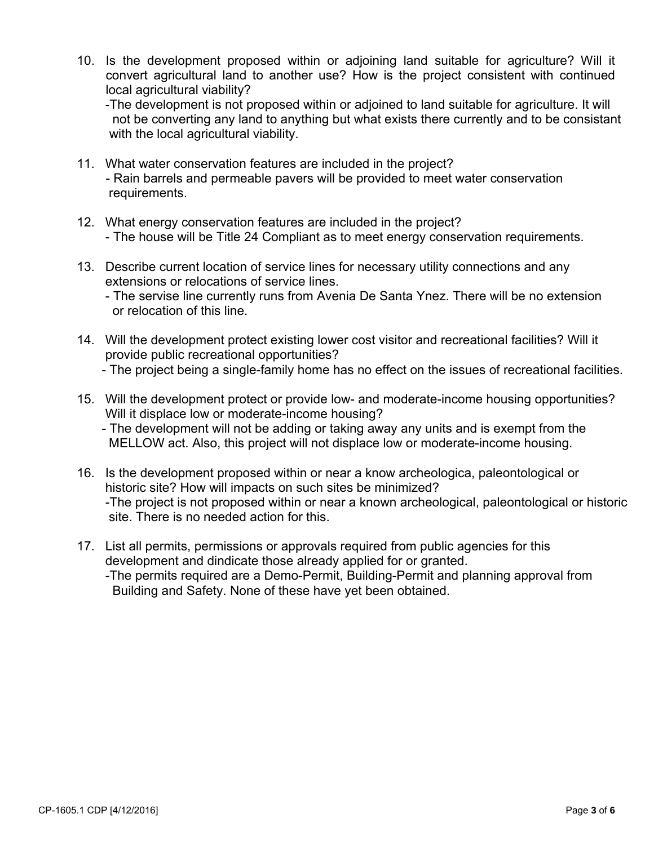10. Is the development proposed within or adjoining land suitable for agriculture? Will it convert agricultural land to another use? How is the project consistent with continued local agricultural viability?

 -The development is not proposed within or adjoined to land suitable for agriculture. It will not be converting any land to anything but what exists there currently and to be consistant with the local agricultural viability.

- 11. What water conservation features are included in the project? - Rain barrels and permeable pavers will be provided to meet water conservation requirements.
- 12. What energy conservation features are included in the project? - The house will be Title 24 Compliant as to meet energy conservation requirements.
- 13. Describe current location of service lines for necessary utility connections and any extensions or relocations of service lines.

 - The servise line currently runs from Avenia De Santa Ynez. There will be no extension or relocation of this line.

- 14. Will the development protect existing lower cost visitor and recreational facilities? Will it provide public recreational opportunities?
	- The project being a single-family home has no effect on the issues of recreational facilities.
- 15. Will the development protect or provide low- and moderate-income housing opportunities? Will it displace low or moderate-income housing?
	- The development will not be adding or taking away any units and is exempt from the MELLOW act. Also, this project will not displace low or moderate-income housing.
- 16. Is the development proposed within or near a know archeologica, paleontological or historic site? How will impacts on such sites be minimized? -The project is not proposed within or near a known archeological, paleontological or historic site. There is no needed action for this.
- 17. List all permits, permissions or approvals required from public agencies for this development and dindicate those already applied for or granted. -The permits required are a Demo-Permit, Building-Permit and planning approval from

Building and Safety. None of these have yet been obtained.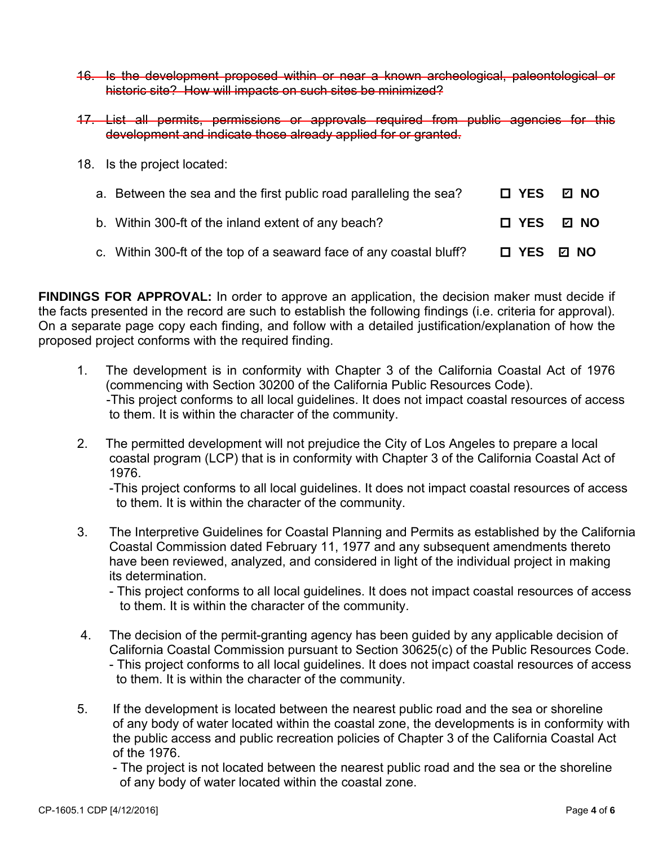- 16. Is the development proposed within or near a known archeological, paleontological or historic site? How will impacts on such sites be minimized?
- 17. List all permits, permissions or approvals required from public agencies for this development and indicate those already applied for or granted.
- 18. Is the project located:

| a. Between the sea and the first public road paralleling the sea?   |            | 口 YES D NO |
|---------------------------------------------------------------------|------------|------------|
| b. Within 300-ft of the inland extent of any beach?                 |            | □ YES ☑ NO |
| c. Within 300-ft of the top of a seaward face of any coastal bluff? | □ YES ☑ NO |            |

**FINDINGS FOR APPROVAL:** In order to approve an application, the decision maker must decide if the facts presented in the record are such to establish the following findings (i.e. criteria for approval). On a separate page copy each finding, and follow with a detailed justification/explanation of how the proposed project conforms with the required finding.

- 1. The development is in conformity with Chapter 3 of the California Coastal Act of 1976 (commencing with Section 30200 of the California Public Resources Code). - -This project conforms to all local guidelines. It does not impact coastal resources of access to them. It is within the character of the community.
- 2. The permitted development will not prejudice the City of Los Angeles to prepare a local coastal program (LCP) that is in conformity with Chapter 3 of the California Coastal Act of 1976.

 -This project conforms to all local guidelines. It does not impact coastal resources of access to them. It is within the character of the community.

 3. The Interpretive Guidelines for Coastal Planning and Permits as established by the California Coastal Commission dated February 11, 1977 and any subsequent amendments thereto have been reviewed, analyzed, and considered in light of the individual project in making its determination.

 - This project conforms to all local guidelines. It does not impact coastal resources of access to them. It is within the character of the community.

- 4. The decision of the permit-granting agency has been guided by any applicable decision of California Coastal Commission pursuant to Section 30625(c) of the Public Resources Code. - This project conforms to all local guidelines. It does not impact coastal resources of access to them. It is within the character of the community.
- 5. If the development is located between the nearest public road and the sea or shoreline of any body of water located within the coastal zone, the developments is in conformity with the public access and public recreation policies of Chapter 3 of the California Coastal Act of the 1976.

 - The project is not located between the nearest public road and the sea or the shoreline of any body of water located within the coastal zone.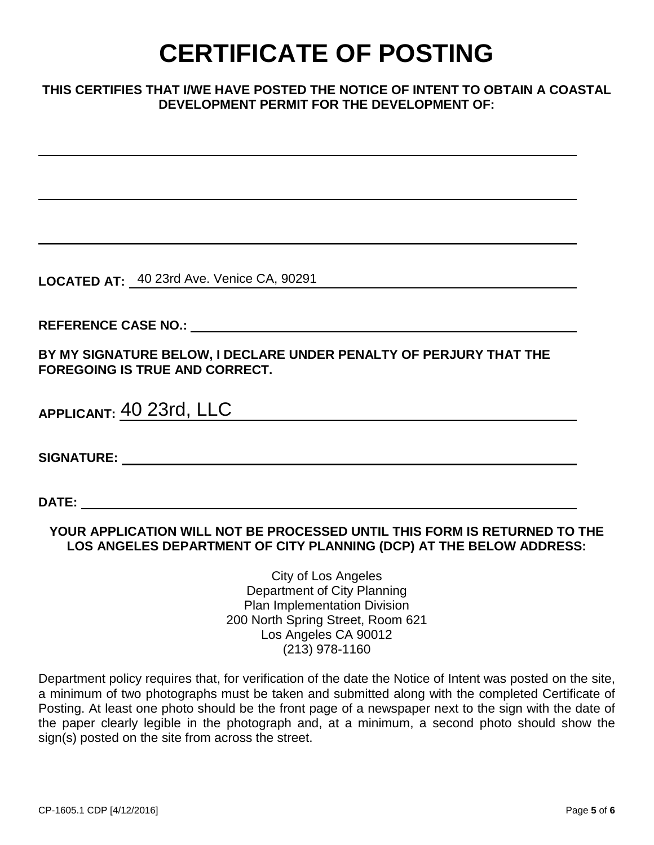# **CERTIFICATE OF POSTING**

#### **THIS CERTIFIES THAT I/WE HAVE POSTED THE NOTICE OF INTENT TO OBTAIN A COASTAL DEVELOPMENT PERMIT FOR THE DEVELOPMENT OF:**

**LOCATED AT:**  40 23rd Ave. Venice CA, 90291

**REFERENCE CASE NO.:** 

**BY MY SIGNATURE BELOW, I DECLARE UNDER PENALTY OF PERJURY THAT THE FOREGOING IS TRUE AND CORRECT.**

| APPLICANT: 40 23rd, LLC |  |
|-------------------------|--|
|                         |  |

**SIGNATURE:** 

**DATE:** 

#### **YOUR APPLICATION WILL NOT BE PROCESSED UNTIL THIS FORM IS RETURNED TO THE LOS ANGELES DEPARTMENT OF CITY PLANNING (DCP) AT THE BELOW ADDRESS:**

City of Los Angeles Department of City Planning Plan Implementation Division 200 North Spring Street, Room 621 Los Angeles CA 90012 (213) 978-1160

Department policy requires that, for verification of the date the Notice of Intent was posted on the site, a minimum of two photographs must be taken and submitted along with the completed Certificate of Posting. At least one photo should be the front page of a newspaper next to the sign with the date of the paper clearly legible in the photograph and, at a minimum, a second photo should show the sign(s) posted on the site from across the street.